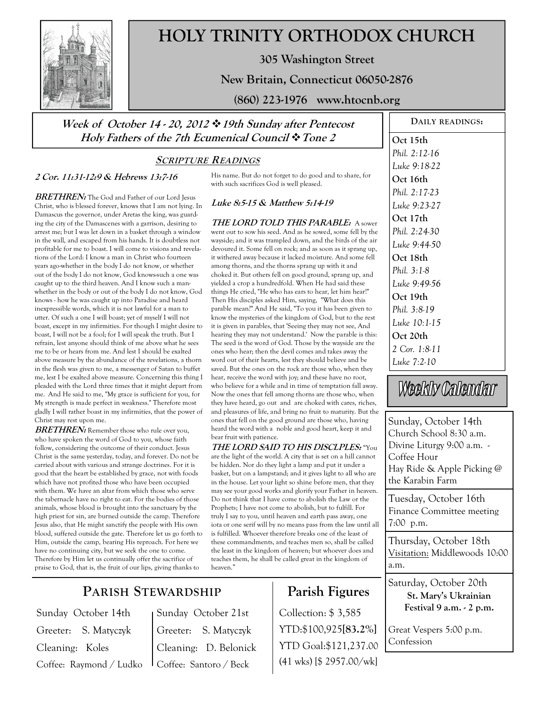

# **HOLY TRINITY ORTHODOX CHURCH**

**305 Washington Street** 

### **New Britain, Connecticut 06050-2876**

**(860) 223-1976 www.htocnb.org** 

**Week of October 14 - 20, 2012 19th Sunday after Pentecost Holy Fathers of the 7th Ecumenical Council Tone 2** 

## **SCRIPTURE READINGS**

#### **2 Cor. 11:31-12:9 & Hebrews 13:7-16**

**BRETHREN:** The God and Father of our Lord Jesus Christ, who is blessed forever, knows that I am not lying. In Damascus the governor, under Aretas the king, was guarding the city of the Damascenes with a garrison, desiring to arrest me; but I was let down in a basket through a window in the wall, and escaped from his hands. It is doubtless not profitable for me to boast. I will come to visions and revelations of the Lord: I know a man in Christ who fourteen years ago-whether in the body I do not know, or whether out of the body I do not know, God knows-such a one was caught up to the third heaven. And I know such a manwhether in the body or out of the body I do not know, God knows - how he was caught up into Paradise and heard inexpressible words, which it is not lawful for a man to utter. Of such a one I will boast; yet of myself I will not boast, except in my infirmities. For though I might desire to boast, I will not be a fool; for I will speak the truth. But I refrain, lest anyone should think of me above what he sees me to be or hears from me. And lest I should be exalted above measure by the abundance of the revelations, a thorn in the flesh was given to me, a messenger of Satan to buffet me, lest I be exalted above measure. Concerning this thing I pleaded with the Lord three times that it might depart from me. And He said to me, "My grace is sufficient for you, for My strength is made perfect in weakness." Therefore most gladly I will rather boast in my infirmities, that the power of Christ may rest upon me.

**BRETHREN:** Remember those who rule over you, who have spoken the word of God to you, whose faith follow, considering the outcome of their conduct. Jesus Christ is the same yesterday, today, and forever. Do not be carried about with various and strange doctrines. For it is good that the heart be established by grace, not with foods which have not profited those who have been occupied with them. We have an altar from which those who serve the tabernacle have no right to eat. For the bodies of those animals, whose blood is brought into the sanctuary by the high priest for sin, are burned outside the camp. Therefore Jesus also, that He might sanctify the people with His own blood, suffered outside the gate. Therefore let us go forth to Him, outside the camp, bearing His reproach. For here we have no continuing city, but we seek the one to come. Therefore by Him let us continually offer the sacrifice of praise to God, that is, the fruit of our lips, giving thanks to

His name. But do not forget to do good and to share, for with such sacrifices God is well pleased.

### **Luke 8:5-15 & Matthew 5:14-19**

**THE LORD TOLD THIS PARABLE:** A sower went out to sow his seed. And as he sowed, some fell by the wayside; and it was trampled down, and the birds of the air devoured it. Some fell on rock; and as soon as it sprang up, it withered away because it lacked moisture. And some fell among thorns, and the thorns sprang up with it and choked it. But others fell on good ground, sprang up, and yielded a crop a hundredfold. When He had said these things He cried, "He who has ears to hear, let him hear!" Then His disciples asked Him, saying, "What does this parable mean?" And He said, "To you it has been given to know the mysteries of the kingdom of God, but to the rest it is given in parables, that 'Seeing they may not see, And hearing they may not understand.' Now the parable is this: The seed is the word of God. Those by the wayside are the ones who hear; then the devil comes and takes away the word out of their hearts, lest they should believe and be saved. But the ones on the rock are those who, when they hear, receive the word with joy; and these have no root, who believe for a while and in time of temptation fall away. Now the ones that fell among thorns are those who, when they have heard, go out and are choked with cares, riches, and pleasures of life, and bring no fruit to maturity. But the ones that fell on the good ground are those who, having heard the word with a noble and good heart, keep it and bear fruit with patience.

**THE LORD SAID TO HIS DISCLPLES:** "You are the light of the world. A city that is set on a hill cannot be hidden. Nor do they light a lamp and put it under a basket, but on a lampstand; and it gives light to all who are in the house. Let your light so shine before men, that they may see your good works and glorify your Father in heaven. Do not think that I have come to abolish the Law or the Prophets; I have not come to abolish, but to fulfill. For truly I say to you, until heaven and earth pass away, one iota or one serif will by no means pass from the law until all is fulfilled. Whoever therefore breaks one of the least of these commandments, and teaches men so, shall be called the least in the kingdom of heaven; but whoever does and teaches them, he shall be called great in the kingdom of heaven."

# **Parish Figures**

Collection: \$ 3,585 YTD:\$100,925**[83.2%]** YTD Goal:\$121,237.00 (41 wks) [\$ 2957.00/wk]

**DAILY READINGS: Oct 15th**  *Phil. 2:12-16 Luke 9:18-22*  **Oct 16th**  *Phil. 2:17-23 Luke 9:23-27*  **Oct 17th**  *Phil. 2:24-30 Luke 9:44-50*  **Oct 18th**  *Phil. 3:1-8 Luke 9:49-56*  **Oct 19th**  *Luke 10:1-15*  **Oct 20th**  *2 Cor. 1:8-11 Luke 7:2-10* 

Weekly Calendar

Sunday, October 14th Church School 8:30 a.m. Divine Liturgy 9:00 a.m. - Coffee Hour Hay Ride & Apple Picking @ the Karabin Farm

Tuesday, October 16th Finance Committee meeting 7:00 p.m.

Thursday, October 18th Visitation: Middlewoods 10:00 a.m.

Saturday, October 20th **St. Mary's Ukrainian Festival 9 a.m. - 2 p.m.** 

Great Vespers 5:00 p.m. Confession

# **PARISH STEWARDSHIP**

Sunday October 14th Greeter: S. Matyczyk Cleaning: Koles Coffee: Raymond / Ludko Sunday October 21st Greeter: S. Matyczyk Cleaning: D. Belonick Coffee: Santoro / Beck

*Phil. 3:8-19*